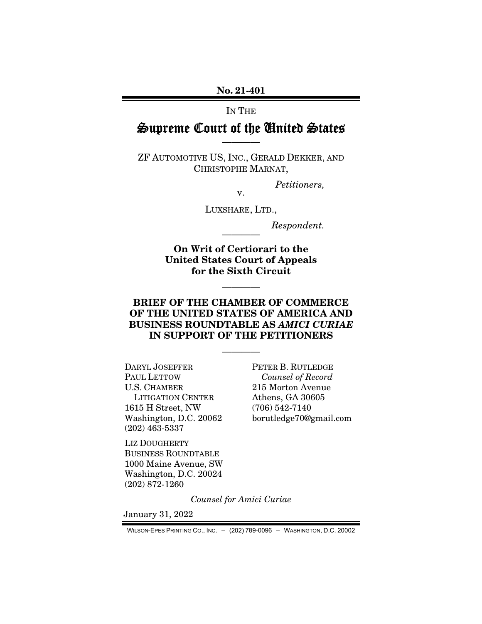#### IN THE

# Supreme Court of the United States ————

ZF AUTOMOTIVE US, INC., GERALD DEKKER, AND CHRISTOPHE MARNAT,

*Petitioners,* 

LUXSHARE, LTD.,

v.

 $Respondent.$ 

On Writ of Certiorari to the United States Court of Appeals for the Sixth Circuit

————

### BRIEF OF THE CHAMBER OF COMMERCE OF THE UNITED STATES OF AMERICA AND BUSINESS ROUNDTABLE AS *AMICI CURIAE* IN SUPPORT OF THE PETITIONERS

————

DARYL JOSEFFER PAUL LETTOW U.S. CHAMBER LITIGATION CENTER 1615 H Street, NW Washington, D.C. 20062 (202) 463-5337

PETER B. RUTLEDGE *Counsel of Record*  215 Morton Avenue Athens, GA 30605 (706) 542-7140 borutledge70@gmail.com

LIZ DOUGHERTY BUSINESS ROUNDTABLE 1000 Maine Avenue, SW Washington, D.C. 20024 (202) 872-1260

*Counsel for Amici Curiae* 

January 31, 2022

WILSON-EPES PRINTING CO., INC. – (202) 789-0096 – WASHINGTON, D.C. 20002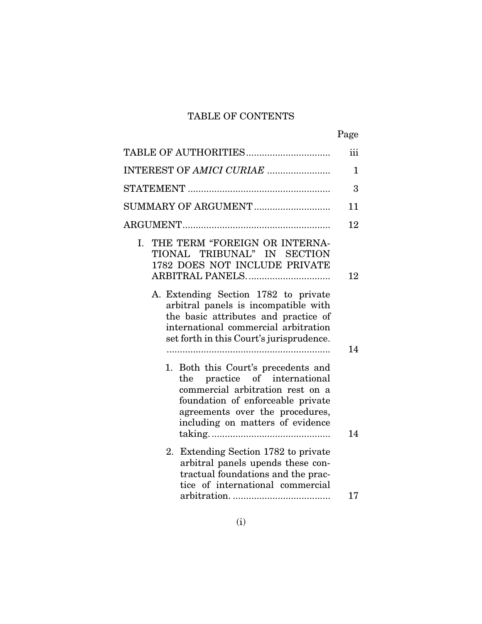# TABLE OF CONTENTS

|                                                                                                                                                                                                                                                                                                                                    | Page     |
|------------------------------------------------------------------------------------------------------------------------------------------------------------------------------------------------------------------------------------------------------------------------------------------------------------------------------------|----------|
|                                                                                                                                                                                                                                                                                                                                    | iii      |
| INTEREST OF AMICI CURIAE                                                                                                                                                                                                                                                                                                           | 1        |
|                                                                                                                                                                                                                                                                                                                                    | 3        |
| SUMMARY OF ARGUMENT                                                                                                                                                                                                                                                                                                                | 11       |
|                                                                                                                                                                                                                                                                                                                                    | 12       |
| THE TERM "FOREIGN OR INTERNA-<br>L.<br>TIONAL TRIBUNAL" IN SECTION<br>1782 DOES NOT INCLUDE PRIVATE<br>ARBITRAL PANELS<br>A. Extending Section 1782 to private<br>arbitral panels is incompatible with<br>the basic attributes and practice of<br>international commercial arbitration<br>set forth in this Court's jurisprudence. | 12       |
| 1. Both this Court's precedents and<br>the practice of international<br>commercial arbitration rest on a<br>foundation of enforceable private<br>agreements over the procedures,<br>including on matters of evidence                                                                                                               | 14       |
| 2. Extending Section 1782 to private<br>arbitral panels upends these con-<br>tractual foundations and the prac-<br>tice of international commercial                                                                                                                                                                                | 14<br>17 |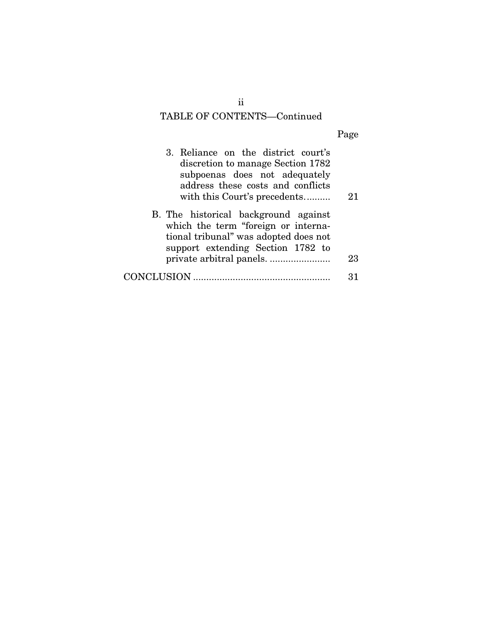# TABLE OF CONTENTS—Continued

| 3. Reliance on the district court's<br>discretion to manage Section 1782<br>subpoenas does not adequately<br>address these costs and conflicts<br>with this Court's precedents | 21 |
|--------------------------------------------------------------------------------------------------------------------------------------------------------------------------------|----|
| B. The historical background against<br>which the term "foreign or interna-<br>tional tribunal" was adopted does not<br>support extending Section 1782 to                      | 23 |
| CONCLUSION                                                                                                                                                                     | 31 |

ii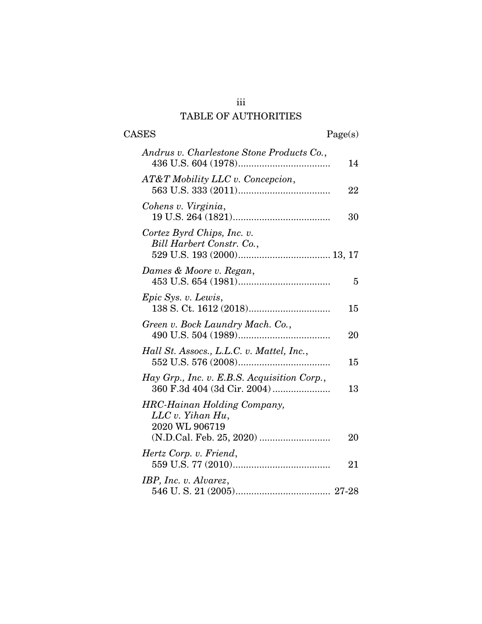# iii TABLE OF AUTHORITIES

| <b>CASES</b>                                                             | Page(s) |
|--------------------------------------------------------------------------|---------|
| Andrus v. Charlestone Stone Products Co.,                                | 14      |
| AT&T Mobility LLC v. Concepcion,                                         | 22      |
| Cohens v. Virginia,                                                      | 30      |
| Cortez Byrd Chips, Inc. v.<br>Bill Harbert Constr. Co.,                  |         |
| Dames & Moore v. Regan,                                                  | 5       |
| <i>Epic Sys. v. Lewis,</i>                                               | 15      |
| Green v. Bock Laundry Mach. Co.,                                         | 20      |
| Hall St. Assocs., L.L.C. v. Mattel, Inc.,                                | 15      |
| Hay Grp., Inc. v. E.B.S. Acquisition Corp.,                              | 13      |
| <b>HRC-Hainan Holding Company,</b><br>LLC v. Yihan Hu,<br>2020 WL 906719 | 20      |
| Hertz Corp. v. Friend,                                                   | 21      |
| IBP, Inc. v. Alvarez,                                                    |         |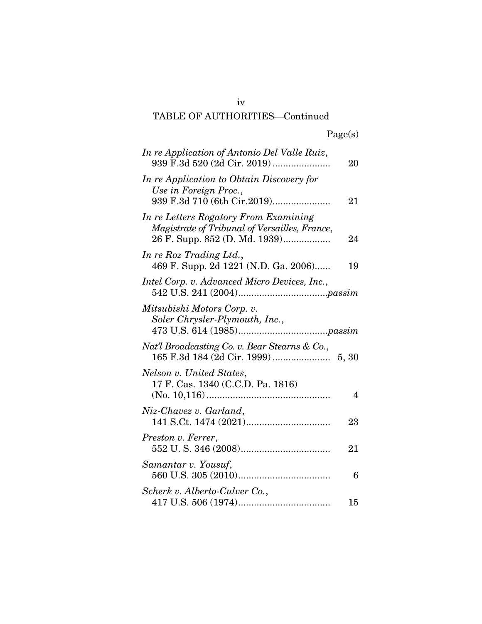# iv TABLE OF AUTHORITIES—Continued

| In re Application of Antonio Del Valle Ruiz,                                                                            | 20 |
|-------------------------------------------------------------------------------------------------------------------------|----|
| In re Application to Obtain Discovery for<br>Use in Foreign Proc.,                                                      | 21 |
| In re Letters Rogatory From Examining<br>Magistrate of Tribunal of Versailles, France,<br>26 F. Supp. 852 (D. Md. 1939) | 24 |
| In re Roz Trading Ltd.,<br>469 F. Supp. 2d 1221 (N.D. Ga. 2006)                                                         | 19 |
| Intel Corp. v. Advanced Micro Devices, Inc.,                                                                            |    |
| Mitsubishi Motors Corp. v.<br>Soler Chrysler-Plymouth, Inc.,                                                            |    |
| Nat'l Broadcasting Co. v. Bear Stearns & Co.,                                                                           |    |
| Nelson v. United States,<br>17 F. Cas. 1340 (C.C.D. Pa. 1816)                                                           | 4  |
| Niz-Chavez v. Garland,                                                                                                  | 23 |
| Preston v. Ferrer,                                                                                                      | 21 |
| Samantar v. Yousuf,                                                                                                     | 6  |
| Scherk v. Alberto-Culver Co.,                                                                                           | 15 |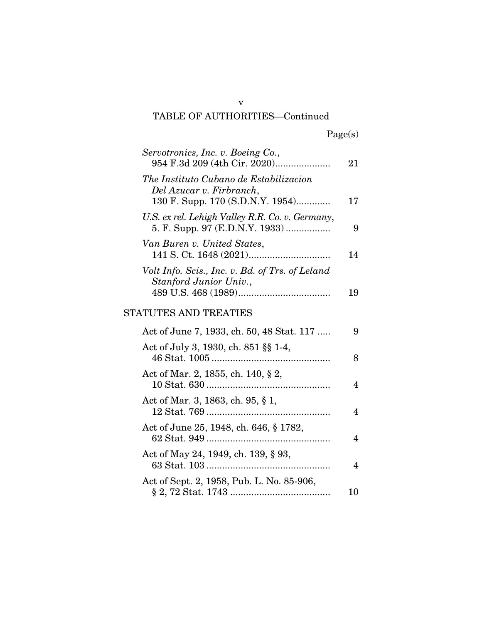### TABLE OF AUTHORITIES—Continued

| Servotronics, Inc. v. Boeing Co.,<br>954 F.3d 209 (4th Cir. 2020)                                         | 21 |
|-----------------------------------------------------------------------------------------------------------|----|
| The Instituto Cubano de Estabilizacion<br>Del Azucar v. Firbranch,<br>130 F. Supp. 170 (S.D.N.Y. 1954)    | 17 |
| U.S. ex rel. Lehigh Valley R.R. Co. v. Germany,<br>5. F. Supp. 97 (E.D.N.Y. 1933)                         | 9  |
| Van Buren v. United States,                                                                               | 14 |
| Volt Info. Scis., Inc. v. Bd. of Trs. of Leland<br>Stanford Junior Univ.,<br><b>STATUTES AND TREATIES</b> | 19 |
| Act of June 7, 1933, ch. 50, 48 Stat. 117                                                                 | 9  |
| Act of July 3, 1930, ch. 851 §§ 1-4,                                                                      | 8  |
| Act of Mar. 2, 1855, ch. 140, § 2,                                                                        | 4  |
| Act of Mar. 3, 1863, ch. 95, § 1,                                                                         | 4  |
| Act of June 25, 1948, ch. 646, § 1782,                                                                    | 4  |
| Act of May 24, 1949, ch. 139, § 93,                                                                       | 4  |

Act of Sept. 2, 1958, Pub. L. No. 85-906,

§ 2, 72 Stat. 1743 ...................................... 10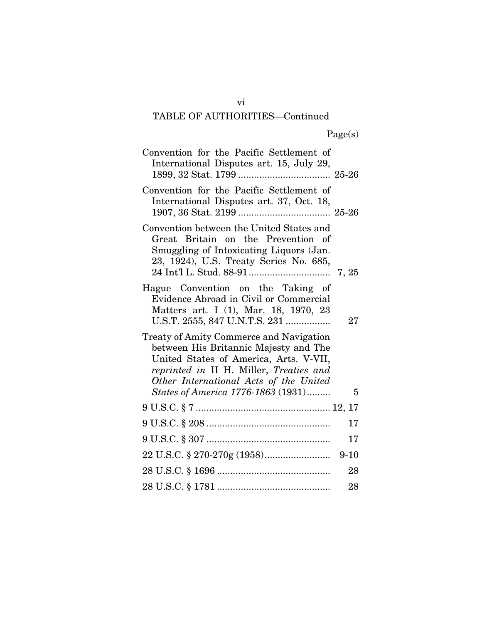# TABLE OF AUTHORITIES—Continued

| Convention for the Pacific Settlement of<br>International Disputes art. 15, July 29,                                                                                                                            |          |
|-----------------------------------------------------------------------------------------------------------------------------------------------------------------------------------------------------------------|----------|
| Convention for the Pacific Settlement of<br>International Disputes art. 37, Oct. 18,                                                                                                                            |          |
| Convention between the United States and<br>Great Britain on the Prevention of<br>Smuggling of Intoxicating Liquors (Jan.<br>23, 1924), U.S. Treaty Series No. 685,                                             |          |
| Hague Convention on the Taking of<br>Evidence Abroad in Civil or Commercial<br>Matters art. I (1), Mar. 18, 1970, 23<br>U.S.T. 2555, 847 U.N.T.S. 231                                                           | 27       |
| Treaty of Amity Commerce and Navigation<br>between His Britannic Majesty and The<br>United States of America, Arts. V-VII,<br>reprinted in II H. Miller, Treaties and<br>Other International Acts of the United |          |
| States of America 1776-1863 (1931)                                                                                                                                                                              | 5        |
|                                                                                                                                                                                                                 | 17       |
|                                                                                                                                                                                                                 | 17       |
|                                                                                                                                                                                                                 | $9 - 10$ |
|                                                                                                                                                                                                                 | 28       |
|                                                                                                                                                                                                                 | 28       |

vi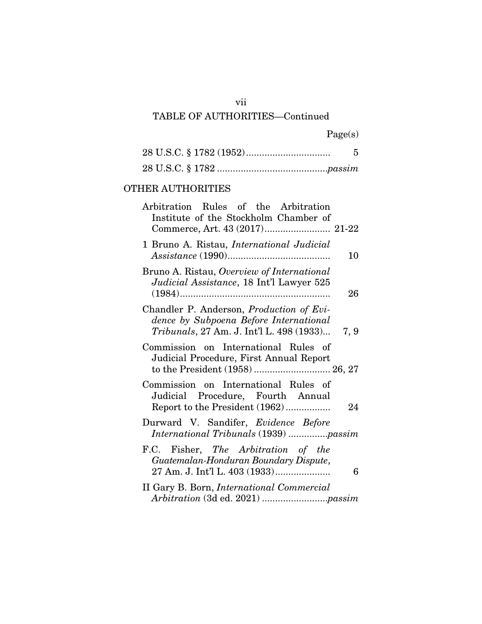### vii

# TABLE OF AUTHORITIES—Continued

Page(s)

# OTHER AUTHORITIES

| Arbitration Rules of the Arbitration<br>Institute of the Stockholm Chamber of                                                  |      |
|--------------------------------------------------------------------------------------------------------------------------------|------|
| 1 Bruno A. Ristau, <i>International Judicial</i>                                                                               | 10   |
| Bruno A. Ristau, Overview of International<br>Judicial Assistance, 18 Int'l Lawyer 525                                         | 26   |
| Chandler P. Anderson, Production of Evi-<br>dence by Subpoena Before International<br>Tribunals, 27 Am. J. Int'l L. 498 (1933) | 7, 9 |
| Commission on International Rules of<br>Judicial Procedure, First Annual Report<br>to the President (1958)  26, 27             |      |
| Commission on International Rules of<br>Judicial Procedure, Fourth Annual<br>Report to the President (1962)                    | 24   |
| Durward V. Sandifer, Evidence Before<br>International Tribunals (1939) passim                                                  |      |
| F.C. Fisher, The Arbitration of the<br>Guatemalan-Honduran Boundary Dispute,<br>27 Am. J. Int'l L. 403 (1933)                  | 6    |
| II Gary B. Born, <i>International Commercial</i>                                                                               |      |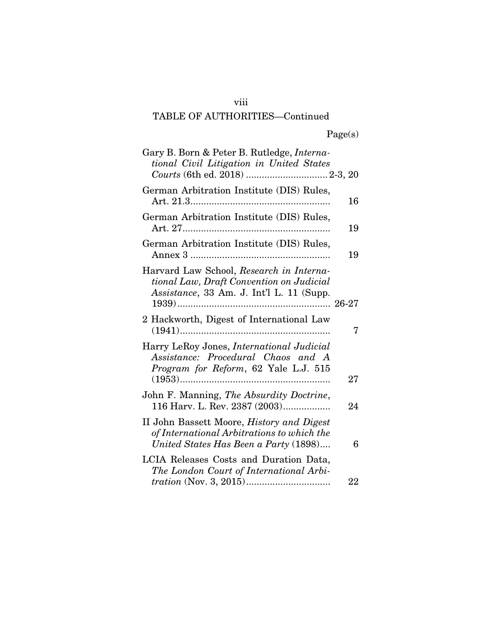# viii

# TABLE OF AUTHORITIES—Continued

Page(s)

| Gary B. Born & Peter B. Rutledge, <i>Interna-</i><br>tional Civil Litigation in United States                                           |    |
|-----------------------------------------------------------------------------------------------------------------------------------------|----|
| German Arbitration Institute (DIS) Rules,                                                                                               | 16 |
| German Arbitration Institute (DIS) Rules,                                                                                               | 19 |
| German Arbitration Institute (DIS) Rules,                                                                                               | 19 |
| Harvard Law School, Research in Interna-<br>tional Law, Draft Convention on Judicial<br>Assistance, 33 Am. J. Int'l L. 11 (Supp.        |    |
| 2 Hackworth, Digest of International Law                                                                                                | 7  |
| Harry LeRoy Jones, <i>International Judicial</i><br>Assistance: Procedural Chaos and A<br>Program for Reform, 62 Yale L.J. 515          | 27 |
| John F. Manning, The Absurdity Doctrine,<br>116 Harv. L. Rev. 2387 (2003)                                                               | 24 |
| II John Bassett Moore, <i>History and Digest</i><br>of International Arbitrations to which the<br>United States Has Been a Party (1898) | 6  |
| LCIA Releases Costs and Duration Data,<br>The London Court of International Arbi-                                                       |    |
|                                                                                                                                         | 22 |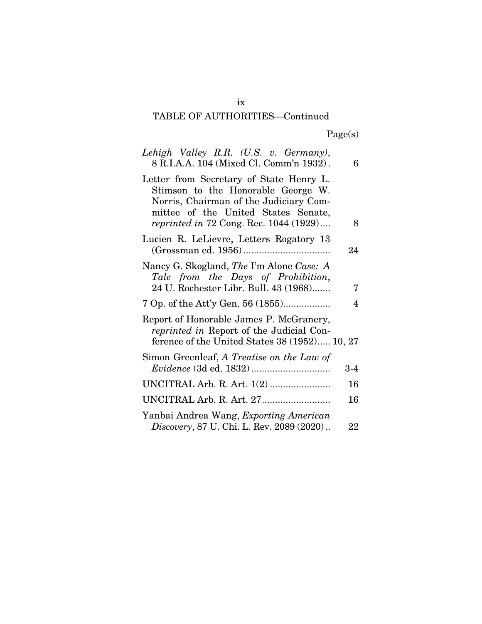# TABLE OF AUTHORITIES—Continued

Page(s)

| Lehigh Valley R.R. (U.S. v. Germany),<br>8 R.I.A.A. 104 (Mixed Cl. Comm'n 1932).                                                                                                                                | 6     |
|-----------------------------------------------------------------------------------------------------------------------------------------------------------------------------------------------------------------|-------|
| Letter from Secretary of State Henry L.<br>Stimson to the Honorable George W.<br>Norris, Chairman of the Judiciary Com-<br>mittee of the United States Senate,<br><i>reprinted in 72 Cong. Rec.</i> 1044 (1929) | 8     |
| Lucien R. LeLievre, Letters Rogatory 13                                                                                                                                                                         | 24    |
| Nancy G. Skogland, The I'm Alone Case: A<br>Tale from the Days of Prohibition,<br>24 U. Rochester Libr. Bull. 43 (1968)                                                                                         | 7     |
| 7 Op. of the Att'y Gen. 56 (1855)                                                                                                                                                                               | 4     |
| Report of Honorable James P. McGranery,<br><i>reprinted in</i> Report of the Judicial Con-<br>ference of the United States 38 (1952) 10, 27                                                                     |       |
| Simon Greenleaf, A Treatise on the Law of                                                                                                                                                                       | $3-4$ |
| UNCITRAL Arb. R. Art. 1(2)                                                                                                                                                                                      | 16    |
|                                                                                                                                                                                                                 | 16    |
| Yanbai Andrea Wang, Exporting American<br>Discovery, 87 U. Chi. L. Rev. 2089 (2020)                                                                                                                             | 22    |

ix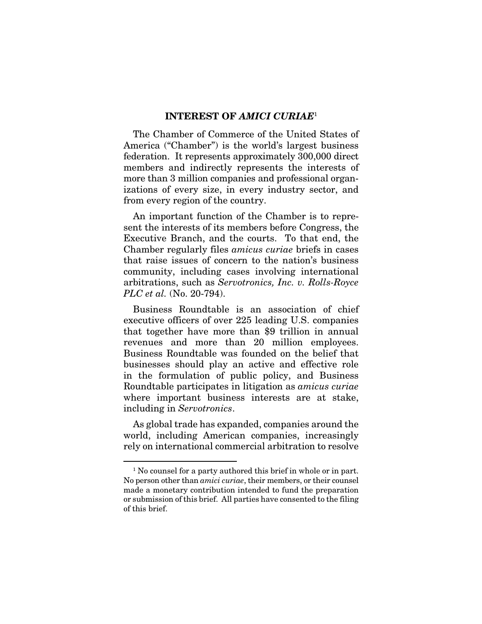#### INTEREST OF *AMICI CURIAE*<sup>1</sup>

The Chamber of Commerce of the United States of America ("Chamber") is the world's largest business federation. It represents approximately 300,000 direct members and indirectly represents the interests of more than 3 million companies and professional organizations of every size, in every industry sector, and from every region of the country.

An important function of the Chamber is to represent the interests of its members before Congress, the Executive Branch, and the courts. To that end, the Chamber regularly files *amicus curiae* briefs in cases that raise issues of concern to the nation's business community, including cases involving international arbitrations, such as *Servotronics, Inc. v. Rolls-Royce PLC et al.* (No. 20-794).

Business Roundtable is an association of chief executive officers of over 225 leading U.S. companies that together have more than \$9 trillion in annual revenues and more than 20 million employees. Business Roundtable was founded on the belief that businesses should play an active and effective role in the formulation of public policy, and Business Roundtable participates in litigation as *amicus curiae* where important business interests are at stake, including in *Servotronics*.

As global trade has expanded, companies around the world, including American companies, increasingly rely on international commercial arbitration to resolve

<sup>&</sup>lt;sup>1</sup> No counsel for a party authored this brief in whole or in part. No person other than *amici curiae*, their members, or their counsel made a monetary contribution intended to fund the preparation or submission of this brief. All parties have consented to the filing of this brief.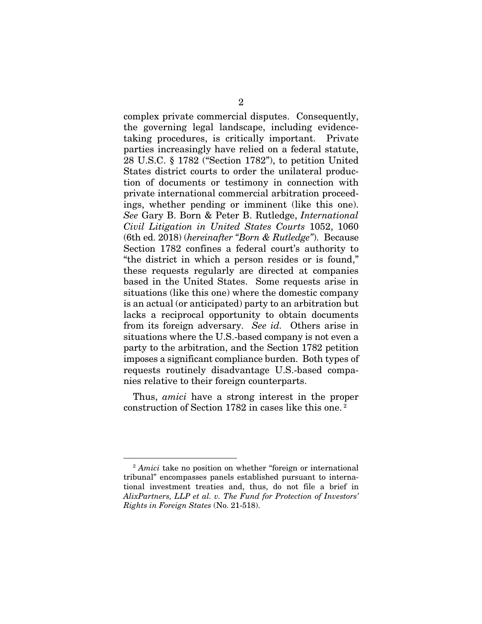complex private commercial disputes. Consequently, the governing legal landscape, including evidencetaking procedures, is critically important. Private parties increasingly have relied on a federal statute, 28 U.S.C. § 1782 ("Section 1782"), to petition United States district courts to order the unilateral production of documents or testimony in connection with private international commercial arbitration proceedings, whether pending or imminent (like this one). *See* Gary B. Born & Peter B. Rutledge, *International Civil Litigation in United States Courts* 1052, 1060 (6th ed. 2018) (*hereinafter "Born & Rutledge"*). Because Section 1782 confines a federal court's authority to "the district in which a person resides or is found," these requests regularly are directed at companies based in the United States. Some requests arise in situations (like this one) where the domestic company is an actual (or anticipated) party to an arbitration but lacks a reciprocal opportunity to obtain documents from its foreign adversary. *See id.* Others arise in situations where the U.S.-based company is not even a party to the arbitration, and the Section 1782 petition imposes a significant compliance burden. Both types of requests routinely disadvantage U.S.-based companies relative to their foreign counterparts.

Thus, *amici* have a strong interest in the proper construction of Section 1782 in cases like this one. 2

<sup>2</sup> *Amici* take no position on whether "foreign or international tribunal" encompasses panels established pursuant to international investment treaties and, thus, do not file a brief in *AlixPartners, LLP et al. v. The Fund for Protection of Investors' Rights in Foreign States* (No. 21-518).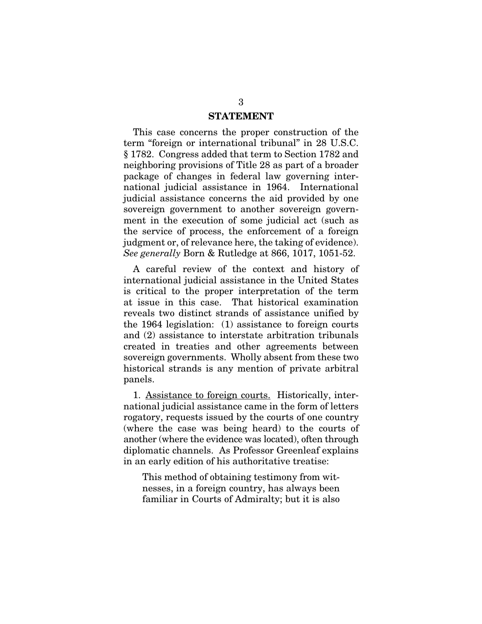#### STATEMENT

This case concerns the proper construction of the term "foreign or international tribunal" in 28 U.S.C. § 1782. Congress added that term to Section 1782 and neighboring provisions of Title 28 as part of a broader package of changes in federal law governing international judicial assistance in 1964. International judicial assistance concerns the aid provided by one sovereign government to another sovereign government in the execution of some judicial act (such as the service of process, the enforcement of a foreign judgment or, of relevance here, the taking of evidence). *See generally* Born & Rutledge at 866, 1017, 1051-52.

A careful review of the context and history of international judicial assistance in the United States is critical to the proper interpretation of the term at issue in this case. That historical examination reveals two distinct strands of assistance unified by the 1964 legislation: (1) assistance to foreign courts and (2) assistance to interstate arbitration tribunals created in treaties and other agreements between sovereign governments. Wholly absent from these two historical strands is any mention of private arbitral panels.

1. Assistance to foreign courts. Historically, international judicial assistance came in the form of letters rogatory, requests issued by the courts of one country (where the case was being heard) to the courts of another (where the evidence was located), often through diplomatic channels. As Professor Greenleaf explains in an early edition of his authoritative treatise:

This method of obtaining testimony from witnesses, in a foreign country, has always been familiar in Courts of Admiralty; but it is also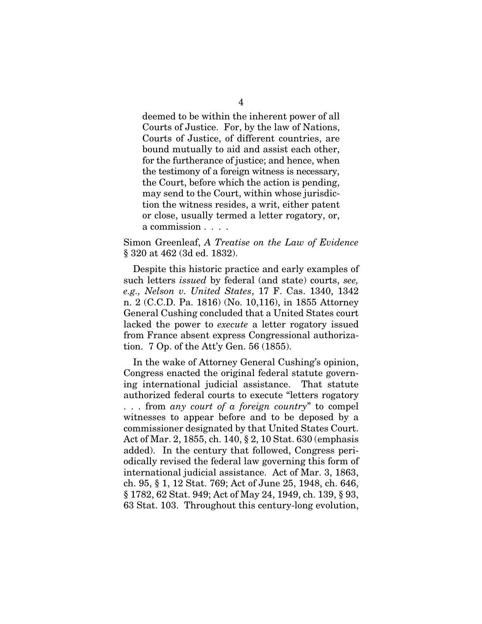deemed to be within the inherent power of all Courts of Justice. For, by the law of Nations, Courts of Justice, of different countries, are bound mutually to aid and assist each other, for the furtherance of justice; and hence, when the testimony of a foreign witness is necessary, the Court, before which the action is pending, may send to the Court, within whose jurisdiction the witness resides, a writ, either patent or close, usually termed a letter rogatory, or, a commission . . . .

Simon Greenleaf, *A Treatise on the Law of Evidence* § 320 at 462 (3d ed. 1832).

Despite this historic practice and early examples of such letters *issued* by federal (and state) courts, *see, e.g., Nelson v. United States*, 17 F. Cas. 1340, 1342 n. 2 (C.C.D. Pa. 1816) (No. 10,116), in 1855 Attorney General Cushing concluded that a United States court lacked the power to *execute* a letter rogatory issued from France absent express Congressional authorization. 7 Op. of the Att'y Gen. 56 (1855).

In the wake of Attorney General Cushing's opinion, Congress enacted the original federal statute governing international judicial assistance. That statute authorized federal courts to execute "letters rogatory . . . from *any court of a foreign country*" to compel witnesses to appear before and to be deposed by a commissioner designated by that United States Court. Act of Mar. 2, 1855, ch. 140, § 2, 10 Stat. 630 (emphasis added). In the century that followed, Congress periodically revised the federal law governing this form of international judicial assistance. Act of Mar. 3, 1863, ch. 95, § 1, 12 Stat. 769; Act of June 25, 1948, ch. 646, § 1782, 62 Stat. 949; Act of May 24, 1949, ch. 139, § 93, 63 Stat. 103. Throughout this century-long evolution,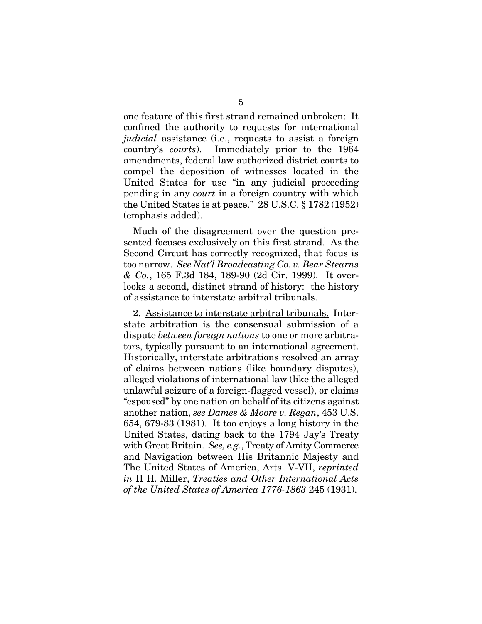one feature of this first strand remained unbroken: It confined the authority to requests for international *judicial* assistance (i.e., requests to assist a foreign country's *courts*). Immediately prior to the 1964 amendments, federal law authorized district courts to compel the deposition of witnesses located in the United States for use "in any judicial proceeding pending in any *court* in a foreign country with which the United States is at peace." 28 U.S.C. § 1782 (1952) (emphasis added).

Much of the disagreement over the question presented focuses exclusively on this first strand. As the Second Circuit has correctly recognized, that focus is too narrow. *See Nat'l Broadcasting Co. v. Bear Stearns & Co.*, 165 F.3d 184, 189-90 (2d Cir. 1999). It overlooks a second, distinct strand of history: the history of assistance to interstate arbitral tribunals.

2. Assistance to interstate arbitral tribunals. Interstate arbitration is the consensual submission of a dispute *between foreign nations* to one or more arbitrators, typically pursuant to an international agreement. Historically, interstate arbitrations resolved an array of claims between nations (like boundary disputes), alleged violations of international law (like the alleged unlawful seizure of a foreign-flagged vessel), or claims "espoused" by one nation on behalf of its citizens against another nation, *see Dames & Moore v. Regan*, 453 U.S. 654, 679-83 (1981). It too enjoys a long history in the United States, dating back to the 1794 Jay's Treaty with Great Britain. *See, e.g*., Treaty of Amity Commerce and Navigation between His Britannic Majesty and The United States of America, Arts. V-VII, *reprinted in* II H. Miller, *Treaties and Other International Acts of the United States of America 1776-1863* 245 (1931).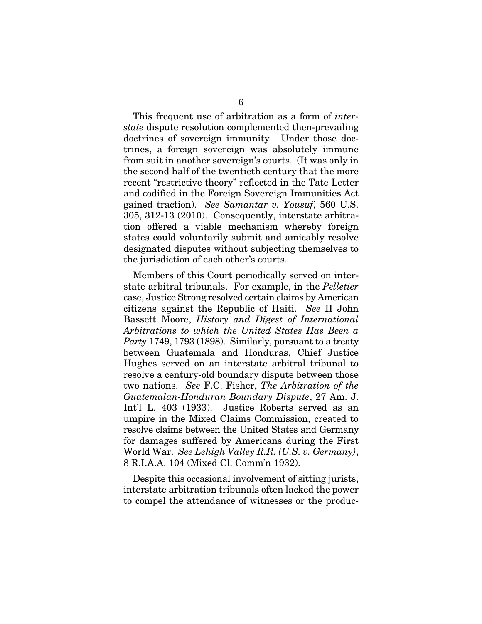This frequent use of arbitration as a form of *interstate* dispute resolution complemented then-prevailing doctrines of sovereign immunity. Under those doctrines, a foreign sovereign was absolutely immune from suit in another sovereign's courts. (It was only in the second half of the twentieth century that the more recent "restrictive theory" reflected in the Tate Letter and codified in the Foreign Sovereign Immunities Act gained traction). *See Samantar v. Yousuf*, 560 U.S. 305, 312-13 (2010). Consequently, interstate arbitration offered a viable mechanism whereby foreign states could voluntarily submit and amicably resolve designated disputes without subjecting themselves to the jurisdiction of each other's courts.

Members of this Court periodically served on interstate arbitral tribunals. For example, in the *Pelletier* case, Justice Strong resolved certain claims by American citizens against the Republic of Haiti. *See* II John Bassett Moore, *History and Digest of International Arbitrations to which the United States Has Been a Party* 1749, 1793 (1898). Similarly, pursuant to a treaty between Guatemala and Honduras, Chief Justice Hughes served on an interstate arbitral tribunal to resolve a century-old boundary dispute between those two nations. *See* F.C. Fisher, *The Arbitration of the Guatemalan-Honduran Boundary Dispute*, 27 Am. J. Int'l L. 403 (1933). Justice Roberts served as an umpire in the Mixed Claims Commission, created to resolve claims between the United States and Germany for damages suffered by Americans during the First World War. *See Lehigh Valley R.R. (U.S. v. Germany)*, 8 R.I.A.A. 104 (Mixed Cl. Comm'n 1932).

Despite this occasional involvement of sitting jurists, interstate arbitration tribunals often lacked the power to compel the attendance of witnesses or the produc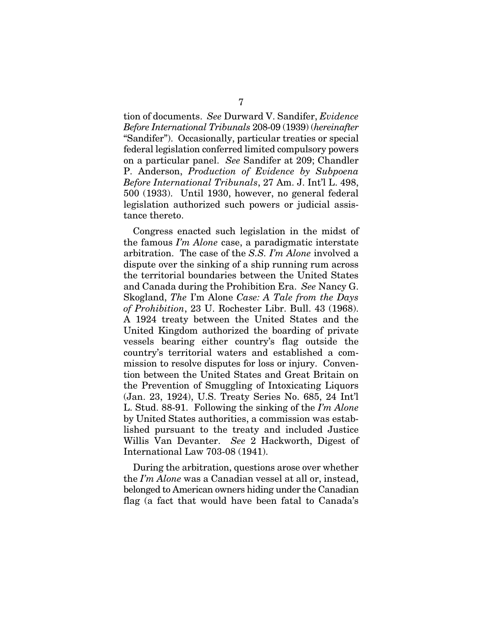tion of documents. *See* Durward V. Sandifer, *Evidence Before International Tribunals* 208-09 (1939) (*hereinafter*  "Sandifer"). Occasionally, particular treaties or special federal legislation conferred limited compulsory powers on a particular panel. *See* Sandifer at 209; Chandler P. Anderson, *Production of Evidence by Subpoena Before International Tribunals*, 27 Am. J. Int'l L. 498, 500 (1933). Until 1930, however, no general federal legislation authorized such powers or judicial assistance thereto.

Congress enacted such legislation in the midst of the famous *I'm Alone* case, a paradigmatic interstate arbitration. The case of the *S.S. I'm Alone* involved a dispute over the sinking of a ship running rum across the territorial boundaries between the United States and Canada during the Prohibition Era. *See* Nancy G. Skogland, *The* I'm Alone *Case: A Tale from the Days of Prohibition*, 23 U. Rochester Libr. Bull. 43 (1968). A 1924 treaty between the United States and the United Kingdom authorized the boarding of private vessels bearing either country's flag outside the country's territorial waters and established a commission to resolve disputes for loss or injury. Convention between the United States and Great Britain on the Prevention of Smuggling of Intoxicating Liquors (Jan. 23, 1924), U.S. Treaty Series No. 685, 24 Int'l L. Stud. 88-91. Following the sinking of the *I'm Alone* by United States authorities, a commission was established pursuant to the treaty and included Justice Willis Van Devanter. *See* 2 Hackworth, Digest of International Law 703-08 (1941).

During the arbitration, questions arose over whether the *I'm Alone* was a Canadian vessel at all or, instead, belonged to American owners hiding under the Canadian flag (a fact that would have been fatal to Canada's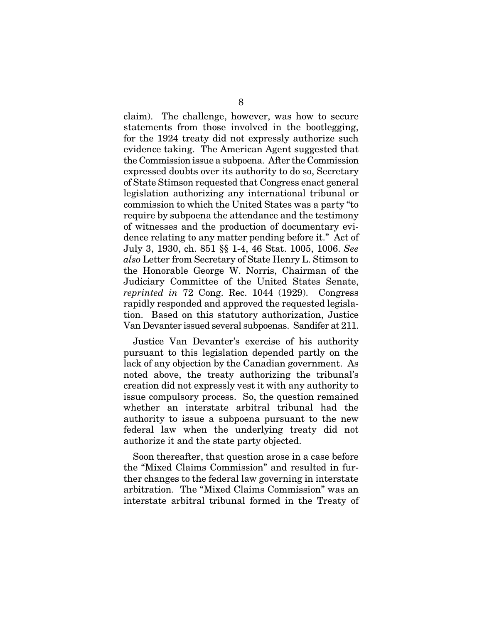claim). The challenge, however, was how to secure statements from those involved in the bootlegging, for the 1924 treaty did not expressly authorize such evidence taking. The American Agent suggested that the Commission issue a subpoena. After the Commission expressed doubts over its authority to do so, Secretary of State Stimson requested that Congress enact general legislation authorizing any international tribunal or commission to which the United States was a party "to require by subpoena the attendance and the testimony of witnesses and the production of documentary evidence relating to any matter pending before it." Act of July 3, 1930, ch. 851 §§ 1-4, 46 Stat. 1005, 1006. *See also* Letter from Secretary of State Henry L. Stimson to the Honorable George W. Norris, Chairman of the Judiciary Committee of the United States Senate, *reprinted in* 72 Cong. Rec. 1044 (1929). Congress rapidly responded and approved the requested legislation. Based on this statutory authorization, Justice Van Devanter issued several subpoenas. Sandifer at 211.

Justice Van Devanter's exercise of his authority pursuant to this legislation depended partly on the lack of any objection by the Canadian government. As noted above, the treaty authorizing the tribunal's creation did not expressly vest it with any authority to issue compulsory process. So, the question remained whether an interstate arbitral tribunal had the authority to issue a subpoena pursuant to the new federal law when the underlying treaty did not authorize it and the state party objected.

Soon thereafter, that question arose in a case before the "Mixed Claims Commission" and resulted in further changes to the federal law governing in interstate arbitration. The "Mixed Claims Commission" was an interstate arbitral tribunal formed in the Treaty of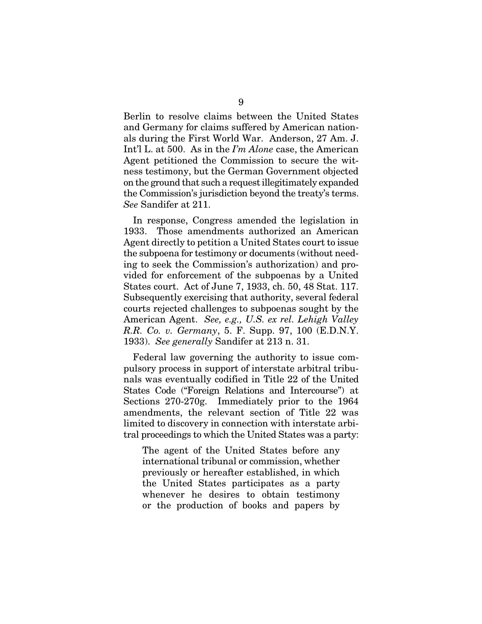Berlin to resolve claims between the United States and Germany for claims suffered by American nationals during the First World War. Anderson, 27 Am. J. Int'l L. at 500. As in the *I'm Alone* case, the American Agent petitioned the Commission to secure the witness testimony, but the German Government objected on the ground that such a request illegitimately expanded the Commission's jurisdiction beyond the treaty's terms. *See* Sandifer at 211.

In response, Congress amended the legislation in 1933. Those amendments authorized an American Agent directly to petition a United States court to issue the subpoena for testimony or documents (without needing to seek the Commission's authorization) and provided for enforcement of the subpoenas by a United States court. Act of June 7, 1933, ch. 50, 48 Stat. 117. Subsequently exercising that authority, several federal courts rejected challenges to subpoenas sought by the American Agent. *See, e.g., U.S. ex rel. Lehigh Valley R.R. Co. v. Germany*, 5. F. Supp. 97, 100 (E.D.N.Y. 1933). *See generally* Sandifer at 213 n. 31.

Federal law governing the authority to issue compulsory process in support of interstate arbitral tribunals was eventually codified in Title 22 of the United States Code ("Foreign Relations and Intercourse") at Sections 270-270g. Immediately prior to the 1964 amendments, the relevant section of Title 22 was limited to discovery in connection with interstate arbitral proceedings to which the United States was a party:

The agent of the United States before any international tribunal or commission, whether previously or hereafter established, in which the United States participates as a party whenever he desires to obtain testimony or the production of books and papers by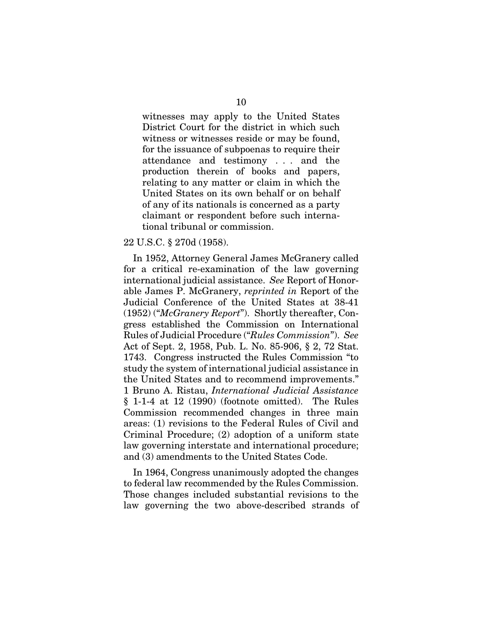witnesses may apply to the United States District Court for the district in which such witness or witnesses reside or may be found, for the issuance of subpoenas to require their attendance and testimony . . . and the production therein of books and papers, relating to any matter or claim in which the United States on its own behalf or on behalf of any of its nationals is concerned as a party claimant or respondent before such international tribunal or commission.

#### 22 U.S.C. § 270d (1958).

In 1952, Attorney General James McGranery called for a critical re-examination of the law governing international judicial assistance. *See* Report of Honorable James P. McGranery, *reprinted in* Report of the Judicial Conference of the United States at 38-41 (1952) ("*McGranery Report*"). Shortly thereafter, Congress established the Commission on International Rules of Judicial Procedure ("*Rules Commission*"). *See*  Act of Sept. 2, 1958, Pub. L. No. 85-906, § 2, 72 Stat. 1743. Congress instructed the Rules Commission "to study the system of international judicial assistance in the United States and to recommend improvements." 1 Bruno A. Ristau, *International Judicial Assistance* § 1-1-4 at 12 (1990) (footnote omitted). The Rules Commission recommended changes in three main areas: (1) revisions to the Federal Rules of Civil and Criminal Procedure; (2) adoption of a uniform state law governing interstate and international procedure; and (3) amendments to the United States Code.

In 1964, Congress unanimously adopted the changes to federal law recommended by the Rules Commission. Those changes included substantial revisions to the law governing the two above-described strands of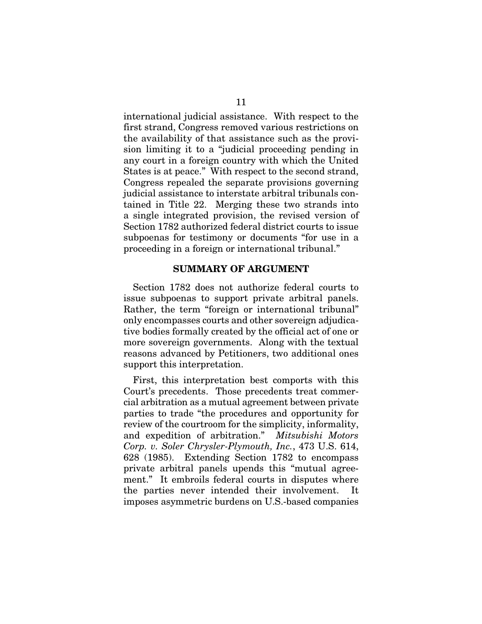international judicial assistance. With respect to the first strand, Congress removed various restrictions on the availability of that assistance such as the provision limiting it to a "judicial proceeding pending in any court in a foreign country with which the United States is at peace." With respect to the second strand, Congress repealed the separate provisions governing judicial assistance to interstate arbitral tribunals contained in Title 22. Merging these two strands into a single integrated provision, the revised version of Section 1782 authorized federal district courts to issue subpoenas for testimony or documents "for use in a proceeding in a foreign or international tribunal."

#### SUMMARY OF ARGUMENT

Section 1782 does not authorize federal courts to issue subpoenas to support private arbitral panels. Rather, the term "foreign or international tribunal" only encompasses courts and other sovereign adjudicative bodies formally created by the official act of one or more sovereign governments. Along with the textual reasons advanced by Petitioners, two additional ones support this interpretation.

First, this interpretation best comports with this Court's precedents. Those precedents treat commercial arbitration as a mutual agreement between private parties to trade "the procedures and opportunity for review of the courtroom for the simplicity, informality, and expedition of arbitration." *Mitsubishi Motors Corp. v. Soler Chrysler-Plymouth, Inc.*, 473 U.S. 614, 628 (1985). Extending Section 1782 to encompass private arbitral panels upends this "mutual agreement." It embroils federal courts in disputes where the parties never intended their involvement. imposes asymmetric burdens on U.S.-based companies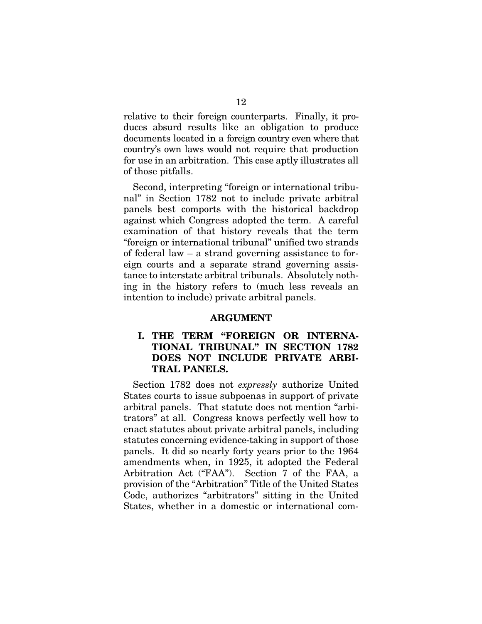relative to their foreign counterparts. Finally, it produces absurd results like an obligation to produce documents located in a foreign country even where that country's own laws would not require that production for use in an arbitration. This case aptly illustrates all of those pitfalls.

Second, interpreting "foreign or international tribunal" in Section 1782 not to include private arbitral panels best comports with the historical backdrop against which Congress adopted the term. A careful examination of that history reveals that the term "foreign or international tribunal" unified two strands of federal law – a strand governing assistance to foreign courts and a separate strand governing assistance to interstate arbitral tribunals. Absolutely nothing in the history refers to (much less reveals an intention to include) private arbitral panels.

#### ARGUMENT

#### I. THE TERM "FOREIGN OR INTERNA-TIONAL TRIBUNAL" IN SECTION 1782 DOES NOT INCLUDE PRIVATE ARBI-TRAL PANELS.

Section 1782 does not *expressly* authorize United States courts to issue subpoenas in support of private arbitral panels. That statute does not mention "arbitrators" at all. Congress knows perfectly well how to enact statutes about private arbitral panels, including statutes concerning evidence-taking in support of those panels. It did so nearly forty years prior to the 1964 amendments when, in 1925, it adopted the Federal Arbitration Act ("FAA"). Section 7 of the FAA, a provision of the "Arbitration" Title of the United States Code, authorizes "arbitrators" sitting in the United States, whether in a domestic or international com-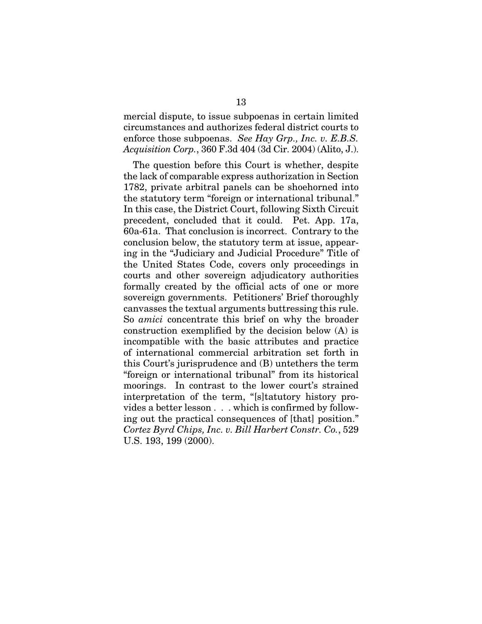mercial dispute, to issue subpoenas in certain limited circumstances and authorizes federal district courts to enforce those subpoenas. *See Hay Grp., Inc. v. E.B.S. Acquisition Corp.*, 360 F.3d 404 (3d Cir. 2004) (Alito, J.).

The question before this Court is whether, despite the lack of comparable express authorization in Section 1782, private arbitral panels can be shoehorned into the statutory term "foreign or international tribunal." In this case, the District Court, following Sixth Circuit precedent, concluded that it could. Pet. App. 17a, 60a-61a. That conclusion is incorrect. Contrary to the conclusion below, the statutory term at issue, appearing in the "Judiciary and Judicial Procedure" Title of the United States Code, covers only proceedings in courts and other sovereign adjudicatory authorities formally created by the official acts of one or more sovereign governments. Petitioners' Brief thoroughly canvasses the textual arguments buttressing this rule. So *amici* concentrate this brief on why the broader construction exemplified by the decision below (A) is incompatible with the basic attributes and practice of international commercial arbitration set forth in this Court's jurisprudence and (B) untethers the term "foreign or international tribunal" from its historical moorings. In contrast to the lower court's strained interpretation of the term, "[s]tatutory history provides a better lesson . . . which is confirmed by following out the practical consequences of [that] position." *Cortez Byrd Chips, Inc. v. Bill Harbert Constr. Co.*, 529 U.S. 193, 199 (2000).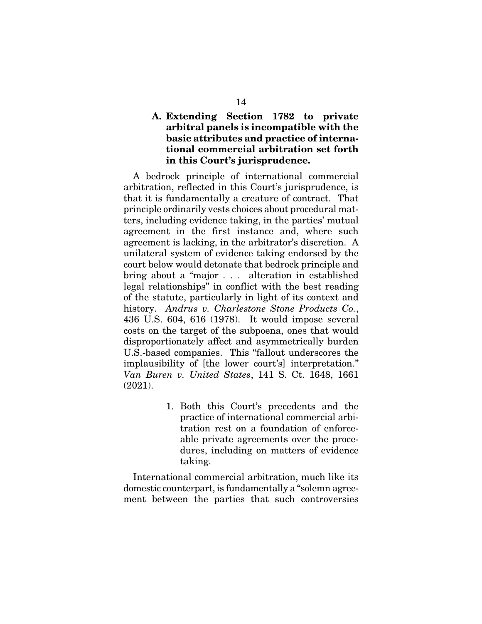#### A. Extending Section 1782 to private arbitral panels is incompatible with the basic attributes and practice of international commercial arbitration set forth in this Court's jurisprudence.

A bedrock principle of international commercial arbitration, reflected in this Court's jurisprudence, is that it is fundamentally a creature of contract. That principle ordinarily vests choices about procedural matters, including evidence taking, in the parties' mutual agreement in the first instance and, where such agreement is lacking, in the arbitrator's discretion. A unilateral system of evidence taking endorsed by the court below would detonate that bedrock principle and bring about a "major . . . alteration in established legal relationships" in conflict with the best reading of the statute, particularly in light of its context and history. *Andrus v. Charlestone Stone Products Co.*, 436 U.S. 604, 616 (1978). It would impose several costs on the target of the subpoena, ones that would disproportionately affect and asymmetrically burden U.S.-based companies. This "fallout underscores the implausibility of [the lower court's] interpretation." *Van Buren v. United States*, 141 S. Ct. 1648, 1661 (2021).

> 1. Both this Court's precedents and the practice of international commercial arbitration rest on a foundation of enforceable private agreements over the procedures, including on matters of evidence taking.

International commercial arbitration, much like its domestic counterpart, is fundamentally a "solemn agreement between the parties that such controversies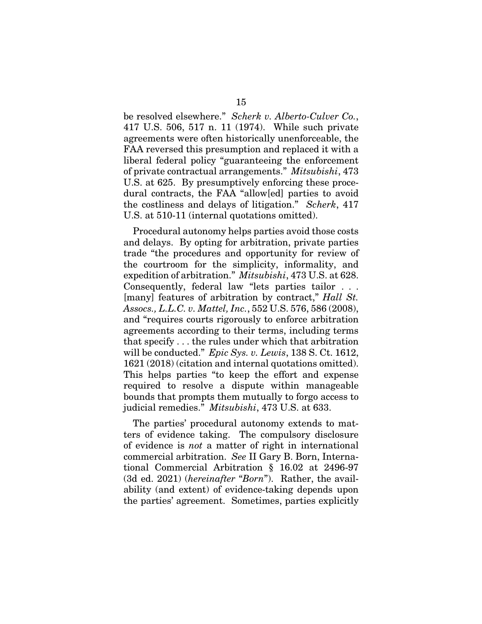be resolved elsewhere." *Scherk v. Alberto-Culver Co.*, 417 U.S. 506, 517 n. 11 (1974). While such private agreements were often historically unenforceable, the FAA reversed this presumption and replaced it with a liberal federal policy "guaranteeing the enforcement of private contractual arrangements." *Mitsubishi*, 473 U.S. at 625. By presumptively enforcing these procedural contracts, the FAA "allow[ed] parties to avoid the costliness and delays of litigation." *Scherk*, 417 U.S. at 510-11 (internal quotations omitted).

Procedural autonomy helps parties avoid those costs and delays. By opting for arbitration, private parties trade "the procedures and opportunity for review of the courtroom for the simplicity, informality, and expedition of arbitration." *Mitsubishi*, 473 U.S. at 628. Consequently, federal law "lets parties tailor . . . [many] features of arbitration by contract," *Hall St. Assocs., L.L.C. v. Mattel, Inc.*, 552 U.S. 576, 586 (2008), and "requires courts rigorously to enforce arbitration agreements according to their terms, including terms that specify . . . the rules under which that arbitration will be conducted." *Epic Sys. v. Lewis*, 138 S. Ct. 1612, 1621 (2018) (citation and internal quotations omitted). This helps parties "to keep the effort and expense required to resolve a dispute within manageable bounds that prompts them mutually to forgo access to judicial remedies." *Mitsubishi*, 473 U.S. at 633.

The parties' procedural autonomy extends to matters of evidence taking. The compulsory disclosure of evidence is *not* a matter of right in international commercial arbitration. *See* II Gary B. Born, International Commercial Arbitration § 16.02 at 2496-97 (3d ed. 2021) (*hereinafter* "*Born*"). Rather, the availability (and extent) of evidence-taking depends upon the parties' agreement. Sometimes, parties explicitly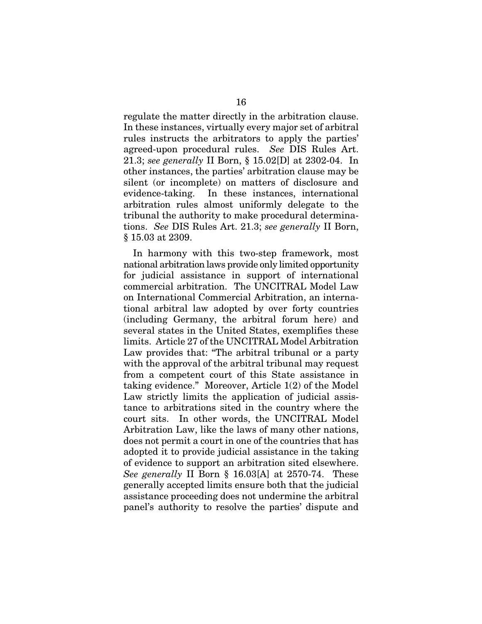regulate the matter directly in the arbitration clause. In these instances, virtually every major set of arbitral rules instructs the arbitrators to apply the parties' agreed-upon procedural rules. *See* DIS Rules Art. 21.3; *see generally* II Born, § 15.02[D] at 2302-04. In other instances, the parties' arbitration clause may be silent (or incomplete) on matters of disclosure and evidence-taking. In these instances, international arbitration rules almost uniformly delegate to the tribunal the authority to make procedural determinations. *See* DIS Rules Art. 21.3; *see generally* II Born, § 15.03 at 2309.

In harmony with this two-step framework, most national arbitration laws provide only limited opportunity for judicial assistance in support of international commercial arbitration. The UNCITRAL Model Law on International Commercial Arbitration, an international arbitral law adopted by over forty countries (including Germany, the arbitral forum here) and several states in the United States, exemplifies these limits. Article 27 of the UNCITRAL Model Arbitration Law provides that: "The arbitral tribunal or a party with the approval of the arbitral tribunal may request from a competent court of this State assistance in taking evidence." Moreover, Article 1(2) of the Model Law strictly limits the application of judicial assistance to arbitrations sited in the country where the court sits. In other words, the UNCITRAL Model Arbitration Law, like the laws of many other nations, does not permit a court in one of the countries that has adopted it to provide judicial assistance in the taking of evidence to support an arbitration sited elsewhere. *See generally* II Born § 16.03[A] at 2570-74. These generally accepted limits ensure both that the judicial assistance proceeding does not undermine the arbitral panel's authority to resolve the parties' dispute and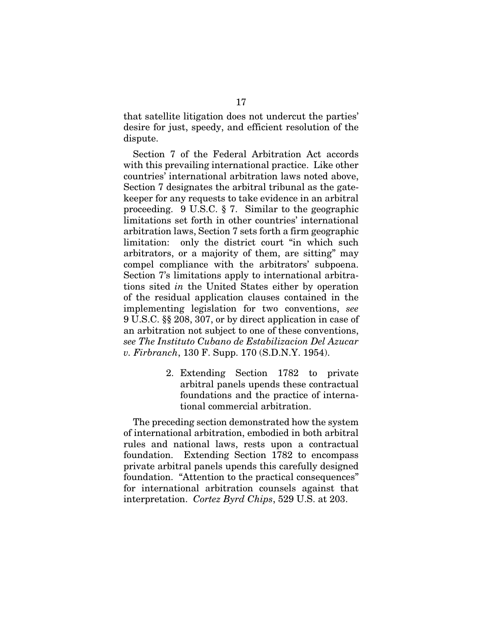that satellite litigation does not undercut the parties' desire for just, speedy, and efficient resolution of the dispute.

Section 7 of the Federal Arbitration Act accords with this prevailing international practice. Like other countries' international arbitration laws noted above, Section 7 designates the arbitral tribunal as the gatekeeper for any requests to take evidence in an arbitral proceeding. 9 U.S.C. § 7. Similar to the geographic limitations set forth in other countries' international arbitration laws, Section 7 sets forth a firm geographic limitation: only the district court "in which such arbitrators, or a majority of them, are sitting" may compel compliance with the arbitrators' subpoena. Section 7's limitations apply to international arbitrations sited *in* the United States either by operation of the residual application clauses contained in the implementing legislation for two conventions, *see*  9 U.S.C. §§ 208, 307, or by direct application in case of an arbitration not subject to one of these conventions, *see The Instituto Cubano de Estabilizacion Del Azucar v. Firbranch*, 130 F. Supp. 170 (S.D.N.Y. 1954).

> 2. Extending Section 1782 to private arbitral panels upends these contractual foundations and the practice of international commercial arbitration.

The preceding section demonstrated how the system of international arbitration, embodied in both arbitral rules and national laws, rests upon a contractual foundation. Extending Section 1782 to encompass private arbitral panels upends this carefully designed foundation. "Attention to the practical consequences" for international arbitration counsels against that interpretation. *Cortez Byrd Chips*, 529 U.S. at 203.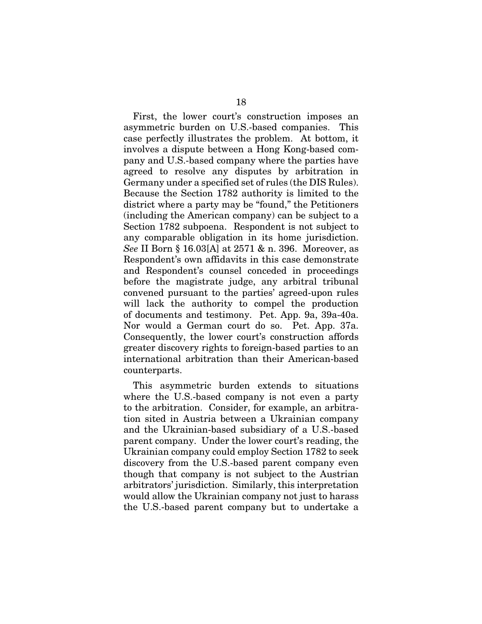First, the lower court's construction imposes an asymmetric burden on U.S.-based companies. This case perfectly illustrates the problem. At bottom, it involves a dispute between a Hong Kong-based company and U.S.-based company where the parties have agreed to resolve any disputes by arbitration in Germany under a specified set of rules (the DIS Rules). Because the Section 1782 authority is limited to the district where a party may be "found," the Petitioners (including the American company) can be subject to a Section 1782 subpoena. Respondent is not subject to any comparable obligation in its home jurisdiction. *See* II Born § 16.03[A] at 2571 & n. 396. Moreover, as Respondent's own affidavits in this case demonstrate and Respondent's counsel conceded in proceedings before the magistrate judge, any arbitral tribunal convened pursuant to the parties' agreed-upon rules will lack the authority to compel the production of documents and testimony. Pet. App. 9a, 39a-40a. Nor would a German court do so. Pet. App. 37a. Consequently, the lower court's construction affords greater discovery rights to foreign-based parties to an international arbitration than their American-based counterparts.

This asymmetric burden extends to situations where the U.S.-based company is not even a party to the arbitration. Consider, for example, an arbitration sited in Austria between a Ukrainian company and the Ukrainian-based subsidiary of a U.S.-based parent company. Under the lower court's reading, the Ukrainian company could employ Section 1782 to seek discovery from the U.S.-based parent company even though that company is not subject to the Austrian arbitrators' jurisdiction. Similarly, this interpretation would allow the Ukrainian company not just to harass the U.S.-based parent company but to undertake a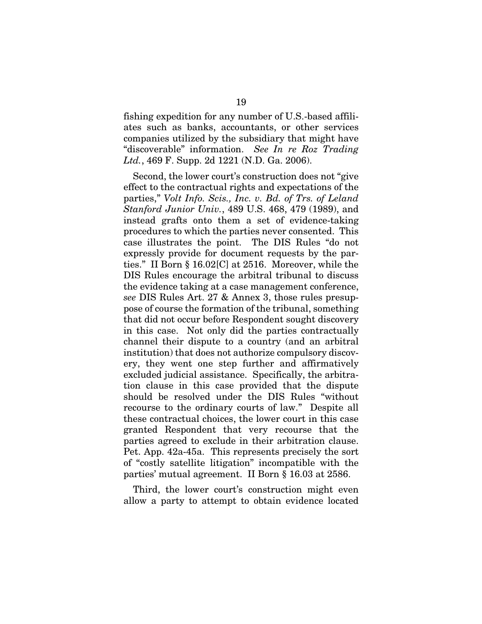fishing expedition for any number of U.S.-based affiliates such as banks, accountants, or other services companies utilized by the subsidiary that might have "discoverable" information. *See In re Roz Trading Ltd.*, 469 F. Supp. 2d 1221 (N.D. Ga. 2006).

Second, the lower court's construction does not "give effect to the contractual rights and expectations of the parties," *Volt Info. Scis., Inc. v. Bd. of Trs. of Leland Stanford Junior Univ.*, 489 U.S. 468, 479 (1989), and instead grafts onto them a set of evidence-taking procedures to which the parties never consented. This case illustrates the point. The DIS Rules "do not expressly provide for document requests by the parties." II Born § 16.02[C] at 2516. Moreover, while the DIS Rules encourage the arbitral tribunal to discuss the evidence taking at a case management conference, *see* DIS Rules Art. 27 & Annex 3, those rules presuppose of course the formation of the tribunal, something that did not occur before Respondent sought discovery in this case. Not only did the parties contractually channel their dispute to a country (and an arbitral institution) that does not authorize compulsory discovery, they went one step further and affirmatively excluded judicial assistance. Specifically, the arbitration clause in this case provided that the dispute should be resolved under the DIS Rules "without recourse to the ordinary courts of law." Despite all these contractual choices, the lower court in this case granted Respondent that very recourse that the parties agreed to exclude in their arbitration clause. Pet. App. 42a-45a. This represents precisely the sort of "costly satellite litigation" incompatible with the parties' mutual agreement. II Born § 16.03 at 2586.

Third, the lower court's construction might even allow a party to attempt to obtain evidence located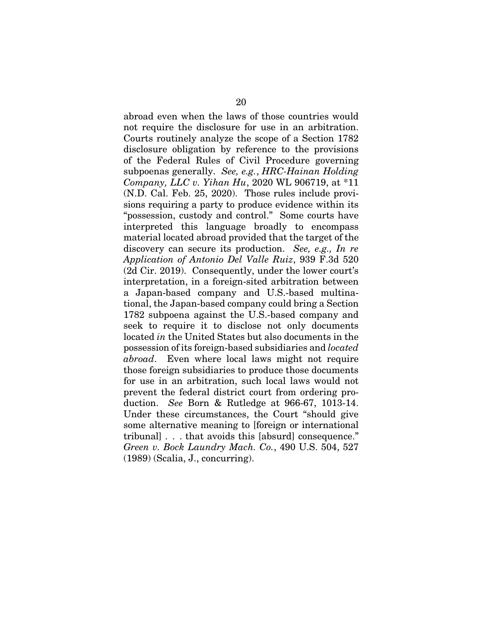abroad even when the laws of those countries would not require the disclosure for use in an arbitration. Courts routinely analyze the scope of a Section 1782 disclosure obligation by reference to the provisions of the Federal Rules of Civil Procedure governing subpoenas generally. *See, e.g.*, *HRC-Hainan Holding Company, LLC v. Yihan Hu*, 2020 WL 906719, at \*11 (N.D. Cal. Feb. 25, 2020). Those rules include provisions requiring a party to produce evidence within its "possession, custody and control." Some courts have interpreted this language broadly to encompass material located abroad provided that the target of the discovery can secure its production. *See, e.g., In re Application of Antonio Del Valle Ruiz*, 939 F.3d 520 (2d Cir. 2019). Consequently, under the lower court's interpretation, in a foreign-sited arbitration between a Japan-based company and U.S.-based multinational, the Japan-based company could bring a Section 1782 subpoena against the U.S.-based company and seek to require it to disclose not only documents located *in* the United States but also documents in the possession of its foreign-based subsidiaries and *located abroad*. Even where local laws might not require those foreign subsidiaries to produce those documents for use in an arbitration, such local laws would not prevent the federal district court from ordering production. *See* Born & Rutledge at 966-67, 1013-14. Under these circumstances, the Court "should give some alternative meaning to [foreign or international tribunal] . . . that avoids this [absurd] consequence." *Green v. Bock Laundry Mach. Co.*, 490 U.S. 504, 527 (1989) (Scalia, J., concurring).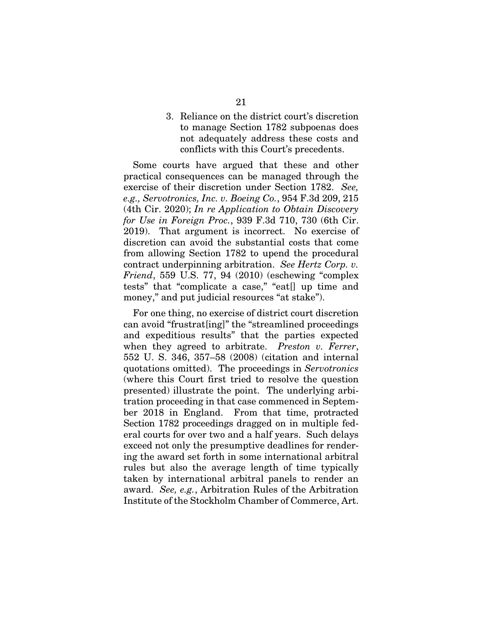3. Reliance on the district court's discretion to manage Section 1782 subpoenas does not adequately address these costs and conflicts with this Court's precedents.

Some courts have argued that these and other practical consequences can be managed through the exercise of their discretion under Section 1782. *See, e.g., Servotronics, Inc. v. Boeing Co.*, 954 F.3d 209, 215 (4th Cir. 2020); *In re Application to Obtain Discovery for Use in Foreign Proc.*, 939 F.3d 710, 730 (6th Cir. 2019). That argument is incorrect. No exercise of discretion can avoid the substantial costs that come from allowing Section 1782 to upend the procedural contract underpinning arbitration. *See Hertz Corp. v. Friend*, 559 U.S. 77, 94 (2010) (eschewing "complex tests" that "complicate a case," "eat[] up time and money," and put judicial resources "at stake").

For one thing, no exercise of district court discretion can avoid "frustrat[ing]" the "streamlined proceedings and expeditious results" that the parties expected when they agreed to arbitrate. *Preston v. Ferrer*, 552 U. S. 346, 357–58 (2008) (citation and internal quotations omitted). The proceedings in *Servotronics* (where this Court first tried to resolve the question presented) illustrate the point. The underlying arbitration proceeding in that case commenced in September 2018 in England. From that time, protracted Section 1782 proceedings dragged on in multiple federal courts for over two and a half years. Such delays exceed not only the presumptive deadlines for rendering the award set forth in some international arbitral rules but also the average length of time typically taken by international arbitral panels to render an award. *See, e.g.*, Arbitration Rules of the Arbitration Institute of the Stockholm Chamber of Commerce, Art.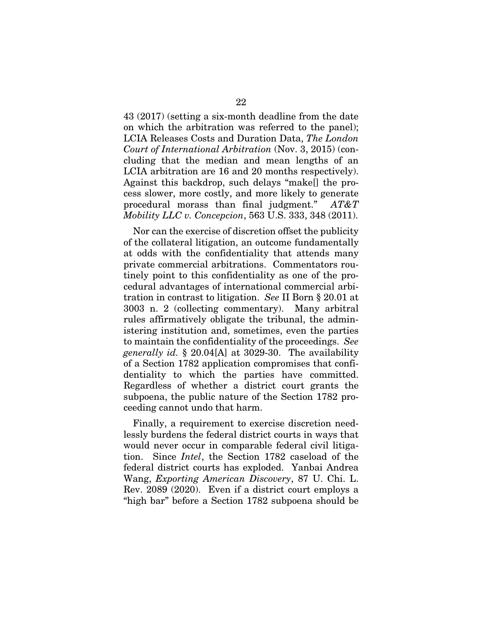43 (2017) (setting a six-month deadline from the date on which the arbitration was referred to the panel); LCIA Releases Costs and Duration Data, *The London Court of International Arbitration* (Nov. 3, 2015) (concluding that the median and mean lengths of an LCIA arbitration are 16 and 20 months respectively). Against this backdrop, such delays "make[] the process slower, more costly, and more likely to generate procedural morass than final judgment." *AT&T Mobility LLC v. Concepcion*, 563 U.S. 333, 348 (2011).

Nor can the exercise of discretion offset the publicity of the collateral litigation, an outcome fundamentally at odds with the confidentiality that attends many private commercial arbitrations. Commentators routinely point to this confidentiality as one of the procedural advantages of international commercial arbitration in contrast to litigation. *See* II Born § 20.01 at 3003 n. 2 (collecting commentary). Many arbitral rules affirmatively obligate the tribunal, the administering institution and, sometimes, even the parties to maintain the confidentiality of the proceedings. *See generally id.* § 20.04[A] at 3029-30. The availability of a Section 1782 application compromises that confidentiality to which the parties have committed. Regardless of whether a district court grants the subpoena, the public nature of the Section 1782 proceeding cannot undo that harm.

Finally, a requirement to exercise discretion needlessly burdens the federal district courts in ways that would never occur in comparable federal civil litigation. Since *Intel*, the Section 1782 caseload of the federal district courts has exploded. Yanbai Andrea Wang, *Exporting American Discovery*, 87 U. Chi. L. Rev. 2089 (2020). Even if a district court employs a "high bar" before a Section 1782 subpoena should be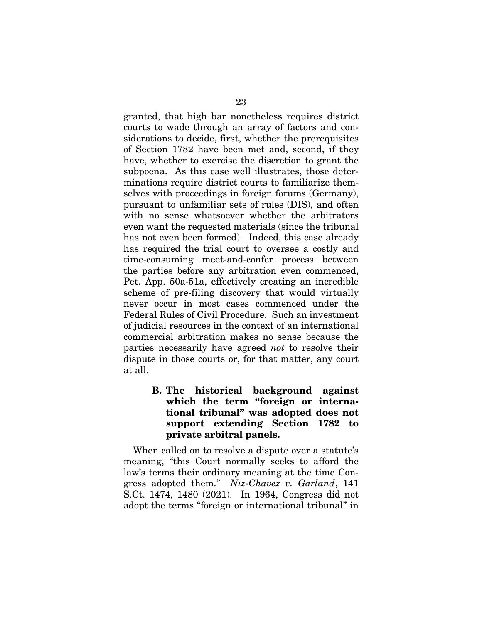granted, that high bar nonetheless requires district courts to wade through an array of factors and considerations to decide, first, whether the prerequisites of Section 1782 have been met and, second, if they have, whether to exercise the discretion to grant the subpoena. As this case well illustrates, those determinations require district courts to familiarize themselves with proceedings in foreign forums (Germany), pursuant to unfamiliar sets of rules (DIS), and often with no sense whatsoever whether the arbitrators even want the requested materials (since the tribunal has not even been formed). Indeed, this case already has required the trial court to oversee a costly and time-consuming meet-and-confer process between the parties before any arbitration even commenced, Pet. App. 50a-51a, effectively creating an incredible scheme of pre-filing discovery that would virtually never occur in most cases commenced under the Federal Rules of Civil Procedure. Such an investment of judicial resources in the context of an international commercial arbitration makes no sense because the parties necessarily have agreed *not* to resolve their dispute in those courts or, for that matter, any court at all.

> B. The historical background against which the term "foreign or international tribunal" was adopted does not support extending Section 1782 to private arbitral panels.

When called on to resolve a dispute over a statute's meaning, "this Court normally seeks to afford the law's terms their ordinary meaning at the time Congress adopted them." *Niz-Chavez v. Garland*, 141 S.Ct. 1474, 1480 (2021). In 1964, Congress did not adopt the terms "foreign or international tribunal" in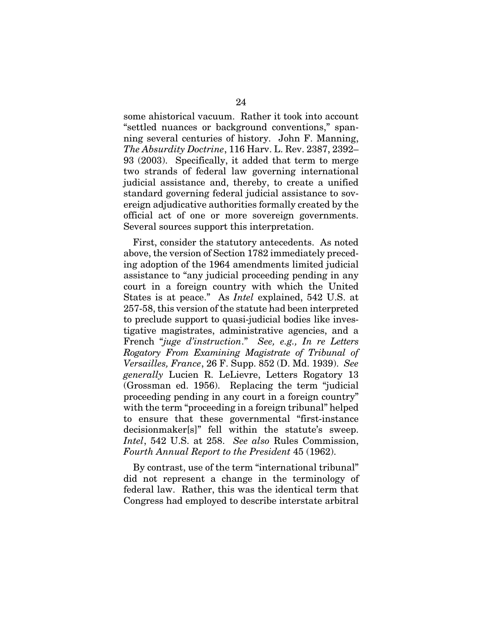some ahistorical vacuum. Rather it took into account "settled nuances or background conventions," spanning several centuries of history. John F. Manning, *The Absurdity Doctrine*, 116 Harv. L. Rev. 2387, 2392– 93 (2003). Specifically, it added that term to merge two strands of federal law governing international judicial assistance and, thereby, to create a unified standard governing federal judicial assistance to sovereign adjudicative authorities formally created by the official act of one or more sovereign governments. Several sources support this interpretation.

First, consider the statutory antecedents. As noted above, the version of Section 1782 immediately preceding adoption of the 1964 amendments limited judicial assistance to "any judicial proceeding pending in any court in a foreign country with which the United States is at peace." As *Intel* explained, 542 U.S. at 257-58, this version of the statute had been interpreted to preclude support to quasi-judicial bodies like investigative magistrates, administrative agencies, and a French "*juge d'instruction*." *See, e.g., In re Letters Rogatory From Examining Magistrate of Tribunal of Versailles, France*, 26 F. Supp. 852 (D. Md. 1939). *See generally* Lucien R. LeLievre, Letters Rogatory 13 (Grossman ed. 1956). Replacing the term "judicial proceeding pending in any court in a foreign country" with the term "proceeding in a foreign tribunal" helped to ensure that these governmental "first-instance decisionmaker[s]" fell within the statute's sweep. *Intel*, 542 U.S. at 258. *See also* Rules Commission, *Fourth Annual Report to the President* 45 (1962).

By contrast, use of the term "international tribunal" did not represent a change in the terminology of federal law. Rather, this was the identical term that Congress had employed to describe interstate arbitral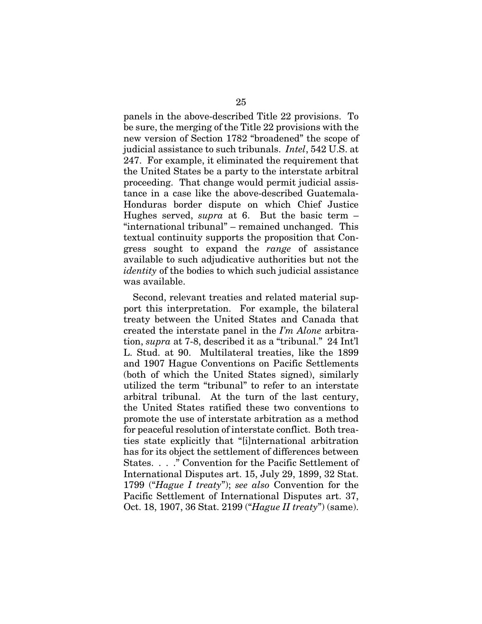panels in the above-described Title 22 provisions. To be sure, the merging of the Title 22 provisions with the new version of Section 1782 "broadened" the scope of judicial assistance to such tribunals. *Intel*, 542 U.S. at 247. For example, it eliminated the requirement that the United States be a party to the interstate arbitral proceeding. That change would permit judicial assistance in a case like the above-described Guatemala-Honduras border dispute on which Chief Justice Hughes served, *supra* at 6. But the basic term – "international tribunal" – remained unchanged. This textual continuity supports the proposition that Congress sought to expand the *range* of assistance available to such adjudicative authorities but not the *identity* of the bodies to which such judicial assistance was available.

Second, relevant treaties and related material support this interpretation. For example, the bilateral treaty between the United States and Canada that created the interstate panel in the *I'm Alone* arbitration, *supra* at 7-8, described it as a "tribunal." 24 Int'l L. Stud. at 90. Multilateral treaties, like the 1899 and 1907 Hague Conventions on Pacific Settlements (both of which the United States signed), similarly utilized the term "tribunal" to refer to an interstate arbitral tribunal. At the turn of the last century, the United States ratified these two conventions to promote the use of interstate arbitration as a method for peaceful resolution of interstate conflict. Both treaties state explicitly that "[i]nternational arbitration has for its object the settlement of differences between States. . . ." Convention for the Pacific Settlement of International Disputes art. 15, July 29, 1899, 32 Stat. 1799 ("*Hague I treaty*"); *see also* Convention for the Pacific Settlement of International Disputes art. 37, Oct. 18, 1907, 36 Stat. 2199 ("*Hague II treaty*") (same).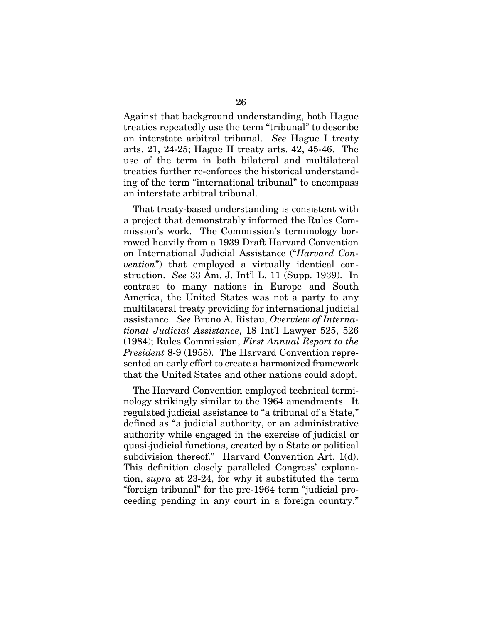Against that background understanding, both Hague treaties repeatedly use the term "tribunal" to describe an interstate arbitral tribunal. *See* Hague I treaty arts. 21, 24-25; Hague II treaty arts. 42, 45-46. The use of the term in both bilateral and multilateral treaties further re-enforces the historical understanding of the term "international tribunal" to encompass an interstate arbitral tribunal.

That treaty-based understanding is consistent with a project that demonstrably informed the Rules Commission's work. The Commission's terminology borrowed heavily from a 1939 Draft Harvard Convention on International Judicial Assistance ("*Harvard Convention*") that employed a virtually identical construction. *See* 33 Am. J. Int'l L. 11 (Supp. 1939). In contrast to many nations in Europe and South America, the United States was not a party to any multilateral treaty providing for international judicial assistance. *See* Bruno A. Ristau, *Overview of International Judicial Assistance*, 18 Int'l Lawyer 525, 526 (1984); Rules Commission, *First Annual Report to the President* 8-9 (1958). The Harvard Convention represented an early effort to create a harmonized framework that the United States and other nations could adopt.

The Harvard Convention employed technical terminology strikingly similar to the 1964 amendments. It regulated judicial assistance to "a tribunal of a State," defined as "a judicial authority, or an administrative authority while engaged in the exercise of judicial or quasi-judicial functions, created by a State or political subdivision thereof." Harvard Convention Art. 1(d). This definition closely paralleled Congress' explanation, *supra* at 23-24, for why it substituted the term "foreign tribunal" for the pre-1964 term "judicial proceeding pending in any court in a foreign country."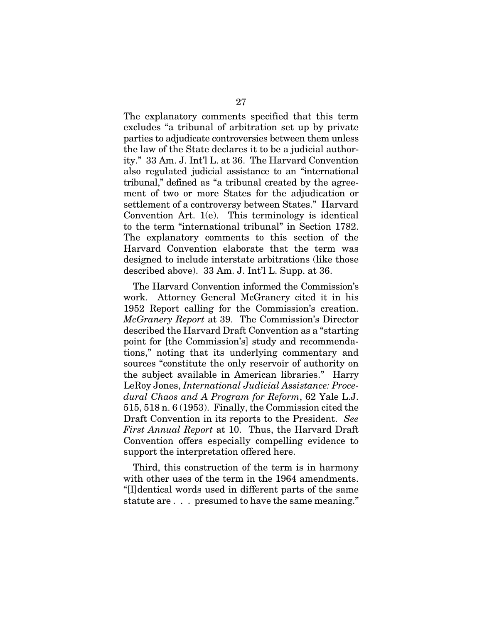The explanatory comments specified that this term excludes "a tribunal of arbitration set up by private parties to adjudicate controversies between them unless the law of the State declares it to be a judicial authority." 33 Am. J. Int'l L. at 36. The Harvard Convention also regulated judicial assistance to an "international tribunal," defined as "a tribunal created by the agreement of two or more States for the adjudication or settlement of a controversy between States." Harvard Convention Art. 1(e). This terminology is identical to the term "international tribunal" in Section 1782. The explanatory comments to this section of the Harvard Convention elaborate that the term was designed to include interstate arbitrations (like those described above). 33 Am. J. Int'l L. Supp. at 36.

The Harvard Convention informed the Commission's work. Attorney General McGranery cited it in his 1952 Report calling for the Commission's creation. *McGranery Report* at 39. The Commission's Director described the Harvard Draft Convention as a "starting point for [the Commission's] study and recommendations," noting that its underlying commentary and sources "constitute the only reservoir of authority on the subject available in American libraries." Harry LeRoy Jones, *International Judicial Assistance: Procedural Chaos and A Program for Reform*, 62 Yale L.J. 515, 518 n. 6 (1953). Finally, the Commission cited the Draft Convention in its reports to the President. *See First Annual Report* at 10. Thus, the Harvard Draft Convention offers especially compelling evidence to support the interpretation offered here.

Third, this construction of the term is in harmony with other uses of the term in the 1964 amendments. "[I]dentical words used in different parts of the same statute are . . . presumed to have the same meaning."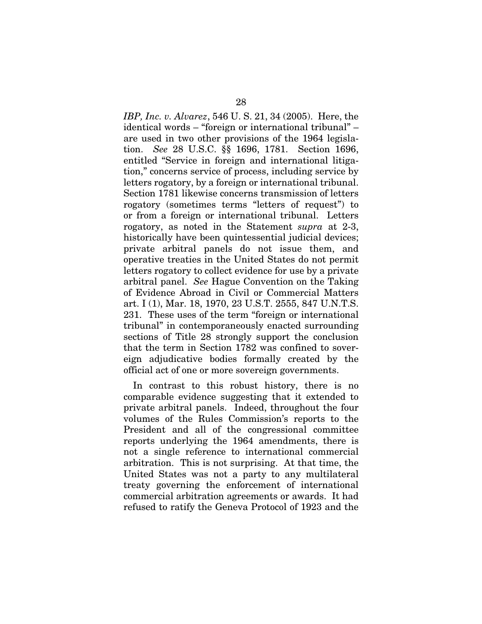*IBP, Inc. v. Alvarez*, 546 U. S. 21, 34 (2005). Here, the identical words – "foreign or international tribunal" – are used in two other provisions of the 1964 legislation. *See* 28 U.S.C. §§ 1696, 1781. Section 1696, entitled "Service in foreign and international litigation," concerns service of process, including service by letters rogatory, by a foreign or international tribunal. Section 1781 likewise concerns transmission of letters rogatory (sometimes terms "letters of request") to or from a foreign or international tribunal. Letters rogatory, as noted in the Statement *supra* at 2-3, historically have been quintessential judicial devices; private arbitral panels do not issue them, and operative treaties in the United States do not permit letters rogatory to collect evidence for use by a private arbitral panel. *See* Hague Convention on the Taking of Evidence Abroad in Civil or Commercial Matters art. I (1), Mar. 18, 1970, 23 U.S.T. 2555, 847 U.N.T.S. 231. These uses of the term "foreign or international tribunal" in contemporaneously enacted surrounding sections of Title 28 strongly support the conclusion that the term in Section 1782 was confined to sovereign adjudicative bodies formally created by the official act of one or more sovereign governments.

In contrast to this robust history, there is no comparable evidence suggesting that it extended to private arbitral panels. Indeed, throughout the four volumes of the Rules Commission's reports to the President and all of the congressional committee reports underlying the 1964 amendments, there is not a single reference to international commercial arbitration. This is not surprising. At that time, the United States was not a party to any multilateral treaty governing the enforcement of international commercial arbitration agreements or awards. It had refused to ratify the Geneva Protocol of 1923 and the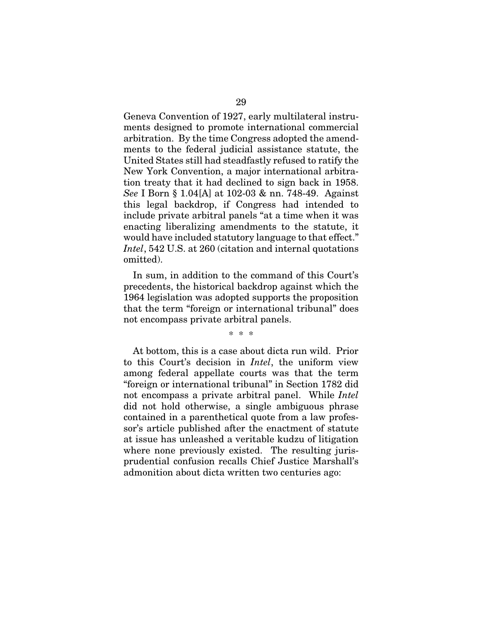Geneva Convention of 1927, early multilateral instruments designed to promote international commercial arbitration. By the time Congress adopted the amendments to the federal judicial assistance statute, the United States still had steadfastly refused to ratify the New York Convention, a major international arbitration treaty that it had declined to sign back in 1958. *See* I Born § 1.04[A] at 102-03 & nn. 748-49. Against this legal backdrop, if Congress had intended to include private arbitral panels "at a time when it was enacting liberalizing amendments to the statute, it would have included statutory language to that effect." *Intel*, 542 U.S. at 260 (citation and internal quotations omitted).

In sum, in addition to the command of this Court's precedents, the historical backdrop against which the 1964 legislation was adopted supports the proposition that the term "foreign or international tribunal" does not encompass private arbitral panels.

\* \* \*

At bottom, this is a case about dicta run wild. Prior to this Court's decision in *Intel*, the uniform view among federal appellate courts was that the term "foreign or international tribunal" in Section 1782 did not encompass a private arbitral panel. While *Intel* did not hold otherwise, a single ambiguous phrase contained in a parenthetical quote from a law professor's article published after the enactment of statute at issue has unleashed a veritable kudzu of litigation where none previously existed. The resulting jurisprudential confusion recalls Chief Justice Marshall's admonition about dicta written two centuries ago: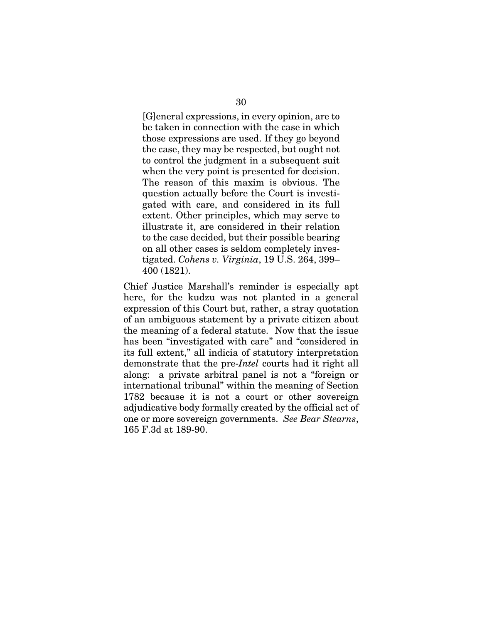[G]eneral expressions, in every opinion, are to be taken in connection with the case in which those expressions are used. If they go beyond the case, they may be respected, but ought not to control the judgment in a subsequent suit when the very point is presented for decision. The reason of this maxim is obvious. The question actually before the Court is investigated with care, and considered in its full extent. Other principles, which may serve to illustrate it, are considered in their relation to the case decided, but their possible bearing on all other cases is seldom completely investigated. *Cohens v. Virginia*, 19 U.S. 264, 399– 400 (1821).

Chief Justice Marshall's reminder is especially apt here, for the kudzu was not planted in a general expression of this Court but, rather, a stray quotation of an ambiguous statement by a private citizen about the meaning of a federal statute. Now that the issue has been "investigated with care" and "considered in its full extent," all indicia of statutory interpretation demonstrate that the pre-*Intel* courts had it right all along: a private arbitral panel is not a "foreign or international tribunal" within the meaning of Section 1782 because it is not a court or other sovereign adjudicative body formally created by the official act of one or more sovereign governments. *See Bear Stearns*, 165 F.3d at 189-90.